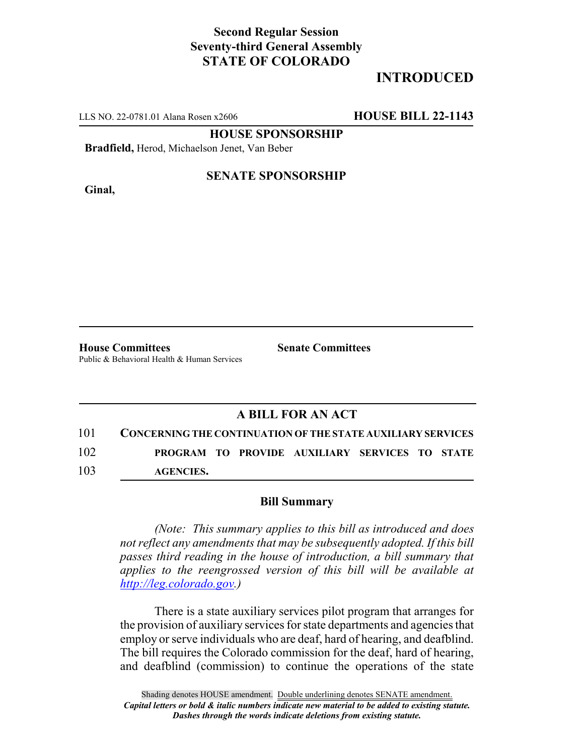## **Second Regular Session Seventy-third General Assembly STATE OF COLORADO**

# **INTRODUCED**

LLS NO. 22-0781.01 Alana Rosen x2606 **HOUSE BILL 22-1143**

**HOUSE SPONSORSHIP**

**Bradfield,** Herod, Michaelson Jenet, Van Beber

**Ginal,**

#### **SENATE SPONSORSHIP**

**House Committees Senate Committees** Public & Behavioral Health & Human Services

### **A BILL FOR AN ACT**

101 **CONCERNING THE CONTINUATION OF THE STATE AUXILIARY SERVICES** 102 **PROGRAM TO PROVIDE AUXILIARY SERVICES TO STATE** 103 **AGENCIES.**

#### **Bill Summary**

*(Note: This summary applies to this bill as introduced and does not reflect any amendments that may be subsequently adopted. If this bill passes third reading in the house of introduction, a bill summary that applies to the reengrossed version of this bill will be available at http://leg.colorado.gov.)*

There is a state auxiliary services pilot program that arranges for the provision of auxiliary services for state departments and agencies that employ or serve individuals who are deaf, hard of hearing, and deafblind. The bill requires the Colorado commission for the deaf, hard of hearing, and deafblind (commission) to continue the operations of the state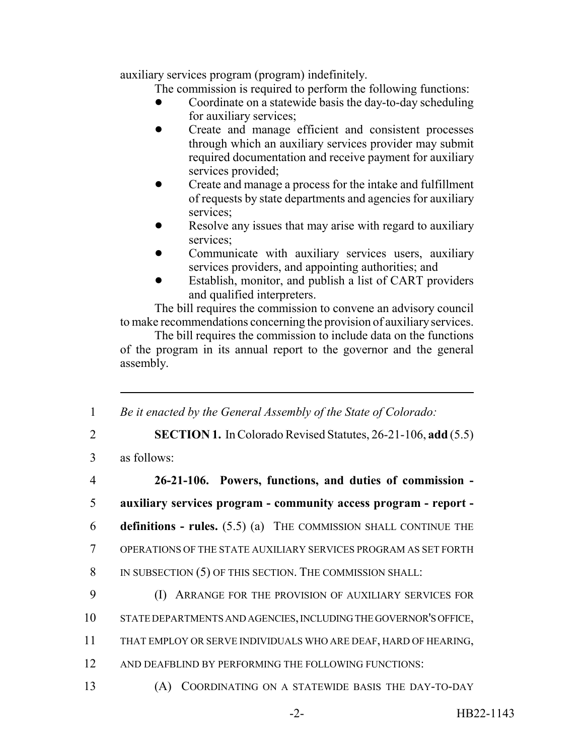auxiliary services program (program) indefinitely.

The commission is required to perform the following functions:

- ! Coordinate on a statewide basis the day-to-day scheduling for auxiliary services;
- ! Create and manage efficient and consistent processes through which an auxiliary services provider may submit required documentation and receive payment for auxiliary services provided;
- ! Create and manage a process for the intake and fulfillment of requests by state departments and agencies for auxiliary services;
- Resolve any issues that may arise with regard to auxiliary services;
- ! Communicate with auxiliary services users, auxiliary services providers, and appointing authorities; and
- ! Establish, monitor, and publish a list of CART providers and qualified interpreters.

The bill requires the commission to convene an advisory council to make recommendations concerning the provision of auxiliary services.

The bill requires the commission to include data on the functions of the program in its annual report to the governor and the general assembly.

1 *Be it enacted by the General Assembly of the State of Colorado:*

- 2 **SECTION 1.** In Colorado Revised Statutes, 26-21-106, **add** (5.5)
- 3 as follows:

| $\overline{4}$ | 26-21-106. Powers, functions, and duties of commission -                  |
|----------------|---------------------------------------------------------------------------|
| 5              | auxiliary services program - community access program - report -          |
| 6              | <b>definitions - rules.</b> $(5.5)$ (a) THE COMMISSION SHALL CONTINUE THE |
| 7              | OPERATIONS OF THE STATE AUXILIARY SERVICES PROGRAM AS SET FORTH           |
| 8              | IN SUBSECTION (5) OF THIS SECTION. THE COMMISSION SHALL:                  |
| 9              | ARRANGE FOR THE PROVISION OF AUXILIARY SERVICES FOR                       |
| 10             | STATE DEPARTMENTS AND AGENCIES, INCLUDING THE GOVERNOR'S OFFICE,          |
| 11             | THAT EMPLOY OR SERVE INDIVIDUALS WHO ARE DEAF, HARD OF HEARING,           |
| 12             | AND DEAFBLIND BY PERFORMING THE FOLLOWING FUNCTIONS:                      |
| 13             | COORDINATING ON A STATEWIDE BASIS THE DAY-TO-DAY                          |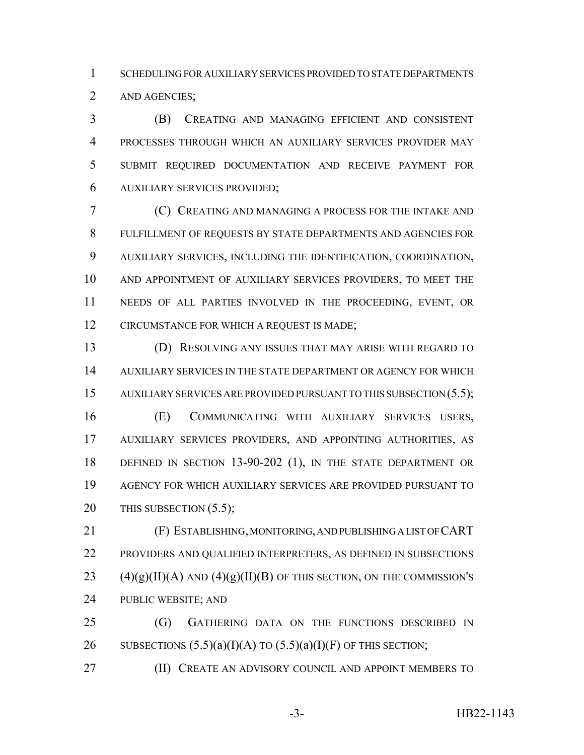SCHEDULING FOR AUXILIARY SERVICES PROVIDED TO STATE DEPARTMENTS AND AGENCIES;

 (B) CREATING AND MANAGING EFFICIENT AND CONSISTENT PROCESSES THROUGH WHICH AN AUXILIARY SERVICES PROVIDER MAY SUBMIT REQUIRED DOCUMENTATION AND RECEIVE PAYMENT FOR AUXILIARY SERVICES PROVIDED;

 (C) CREATING AND MANAGING A PROCESS FOR THE INTAKE AND FULFILLMENT OF REQUESTS BY STATE DEPARTMENTS AND AGENCIES FOR AUXILIARY SERVICES, INCLUDING THE IDENTIFICATION, COORDINATION, AND APPOINTMENT OF AUXILIARY SERVICES PROVIDERS, TO MEET THE NEEDS OF ALL PARTIES INVOLVED IN THE PROCEEDING, EVENT, OR CIRCUMSTANCE FOR WHICH A REQUEST IS MADE;

 (D) RESOLVING ANY ISSUES THAT MAY ARISE WITH REGARD TO AUXILIARY SERVICES IN THE STATE DEPARTMENT OR AGENCY FOR WHICH 15 AUXILIARY SERVICES ARE PROVIDED PURSUANT TO THIS SUBSECTION (5.5);

 (E) COMMUNICATING WITH AUXILIARY SERVICES USERS, AUXILIARY SERVICES PROVIDERS, AND APPOINTING AUTHORITIES, AS DEFINED IN SECTION 13-90-202 (1), IN THE STATE DEPARTMENT OR AGENCY FOR WHICH AUXILIARY SERVICES ARE PROVIDED PURSUANT TO 20 THIS SUBSECTION (5.5);

 (F) ESTABLISHING, MONITORING, AND PUBLISHING A LIST OF CART PROVIDERS AND QUALIFIED INTERPRETERS, AS DEFINED IN SUBSECTIONS  $(4)(g)(II)(A)$  AND  $(4)(g)(II)(B)$  OF THIS SECTION, ON THE COMMISSION'S PUBLIC WEBSITE; AND

 (G) GATHERING DATA ON THE FUNCTIONS DESCRIBED IN 26 SUBSECTIONS  $(5.5)(a)(I)(A)$  TO  $(5.5)(a)(I)(F)$  OF THIS SECTION;

**(II) CREATE AN ADVISORY COUNCIL AND APPOINT MEMBERS TO** 

-3- HB22-1143